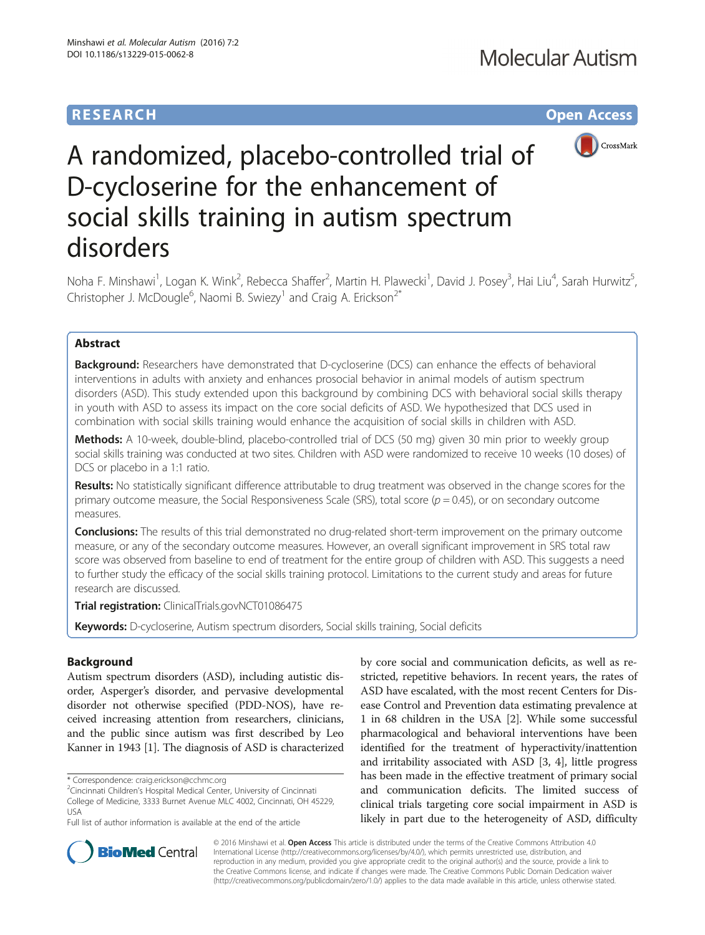## **RESEARCH CHE Open Access**



# A randomized, placebo-controlled trial of D-cycloserine for the enhancement of social skills training in autism spectrum disorders

Noha F. Minshawi<sup>1</sup>, Logan K. Wink<sup>2</sup>, Rebecca Shaffer<sup>2</sup>, Martin H. Plawecki<sup>1</sup>, David J. Posey<sup>3</sup>, Hai Liu<sup>4</sup>, Sarah Hurwitz<sup>5</sup> , Christopher J. McDougle<sup>6</sup>, Naomi B. Swiezy<sup>1</sup> and Craig A. Erickson<sup>2\*</sup>

## Abstract

**Background:** Researchers have demonstrated that D-cycloserine (DCS) can enhance the effects of behavioral interventions in adults with anxiety and enhances prosocial behavior in animal models of autism spectrum disorders (ASD). This study extended upon this background by combining DCS with behavioral social skills therapy in youth with ASD to assess its impact on the core social deficits of ASD. We hypothesized that DCS used in combination with social skills training would enhance the acquisition of social skills in children with ASD.

Methods: A 10-week, double-blind, placebo-controlled trial of DCS (50 mg) given 30 min prior to weekly group social skills training was conducted at two sites. Children with ASD were randomized to receive 10 weeks (10 doses) of DCS or placebo in a 1:1 ratio.

Results: No statistically significant difference attributable to drug treatment was observed in the change scores for the primary outcome measure, the Social Responsiveness Scale (SRS), total score ( $p = 0.45$ ), or on secondary outcome measures.

**Conclusions:** The results of this trial demonstrated no drug-related short-term improvement on the primary outcome measure, or any of the secondary outcome measures. However, an overall significant improvement in SRS total raw score was observed from baseline to end of treatment for the entire group of children with ASD. This suggests a need to further study the efficacy of the social skills training protocol. Limitations to the current study and areas for future research are discussed.

Trial registration: ClinicalTrials.gov[NCT01086475](https://clinicaltrials.gov/ct2/show/NCT01086475?term=NCT01086475&rank=1)

Keywords: D-cycloserine, Autism spectrum disorders, Social skills training, Social deficits

### Background

Autism spectrum disorders (ASD), including autistic disorder, Asperger's disorder, and pervasive developmental disorder not otherwise specified (PDD-NOS), have received increasing attention from researchers, clinicians, and the public since autism was first described by Leo Kanner in 1943 [[1\]](#page-8-0). The diagnosis of ASD is characterized

by core social and communication deficits, as well as restricted, repetitive behaviors. In recent years, the rates of ASD have escalated, with the most recent Centers for Disease Control and Prevention data estimating prevalence at 1 in 68 children in the USA [\[2\]](#page-8-0). While some successful pharmacological and behavioral interventions have been identified for the treatment of hyperactivity/inattention and irritability associated with ASD [\[3](#page-8-0), [4](#page-8-0)], little progress has been made in the effective treatment of primary social and communication deficits. The limited success of clinical trials targeting core social impairment in ASD is likely in part due to the heterogeneity of ASD, difficulty



© 2016 Minshawi et al. Open Access This article is distributed under the terms of the Creative Commons Attribution 4.0 International License [\(http://creativecommons.org/licenses/by/4.0/](http://creativecommons.org/licenses/by/4.0/)), which permits unrestricted use, distribution, and reproduction in any medium, provided you give appropriate credit to the original author(s) and the source, provide a link to the Creative Commons license, and indicate if changes were made. The Creative Commons Public Domain Dedication waiver [\(http://creativecommons.org/publicdomain/zero/1.0/](http://creativecommons.org/publicdomain/zero/1.0/)) applies to the data made available in this article, unless otherwise stated.

<sup>\*</sup> Correspondence: [craig.erickson@cchmc.org](mailto:craig.erickson@cchmc.org) <sup>2</sup>

<sup>&</sup>lt;sup>2</sup> Cincinnati Children's Hospital Medical Center, University of Cincinnati College of Medicine, 3333 Burnet Avenue MLC 4002, Cincinnati, OH 45229, USA

Full list of author information is available at the end of the article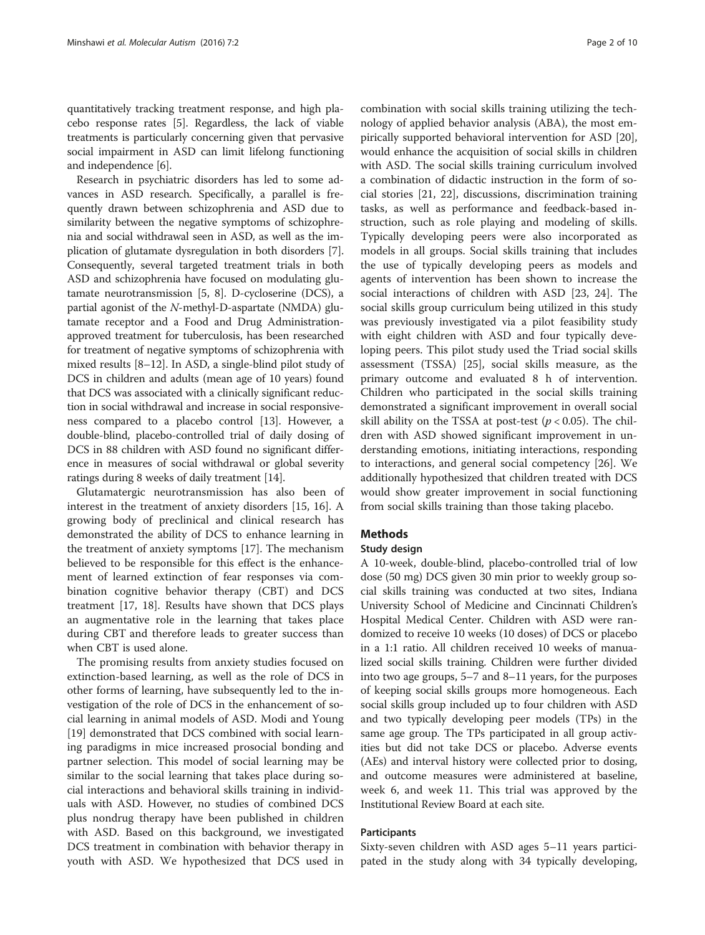quantitatively tracking treatment response, and high placebo response rates [\[5\]](#page-8-0). Regardless, the lack of viable treatments is particularly concerning given that pervasive social impairment in ASD can limit lifelong functioning and independence [\[6](#page-8-0)].

Research in psychiatric disorders has led to some advances in ASD research. Specifically, a parallel is frequently drawn between schizophrenia and ASD due to similarity between the negative symptoms of schizophrenia and social withdrawal seen in ASD, as well as the implication of glutamate dysregulation in both disorders [[7](#page-8-0)]. Consequently, several targeted treatment trials in both ASD and schizophrenia have focused on modulating glutamate neurotransmission [\[5, 8](#page-8-0)]. D-cycloserine (DCS), a partial agonist of the N-methyl-D-aspartate (NMDA) glutamate receptor and a Food and Drug Administrationapproved treatment for tuberculosis, has been researched for treatment of negative symptoms of schizophrenia with mixed results [[8](#page-8-0)–[12\]](#page-8-0). In ASD, a single-blind pilot study of DCS in children and adults (mean age of 10 years) found that DCS was associated with a clinically significant reduction in social withdrawal and increase in social responsiveness compared to a placebo control [[13](#page-8-0)]. However, a double-blind, placebo-controlled trial of daily dosing of DCS in 88 children with ASD found no significant difference in measures of social withdrawal or global severity ratings during 8 weeks of daily treatment [\[14\]](#page-8-0).

Glutamatergic neurotransmission has also been of interest in the treatment of anxiety disorders [[15](#page-8-0), [16\]](#page-8-0). A growing body of preclinical and clinical research has demonstrated the ability of DCS to enhance learning in the treatment of anxiety symptoms [[17](#page-8-0)]. The mechanism believed to be responsible for this effect is the enhancement of learned extinction of fear responses via combination cognitive behavior therapy (CBT) and DCS treatment [\[17, 18](#page-8-0)]. Results have shown that DCS plays an augmentative role in the learning that takes place during CBT and therefore leads to greater success than when CBT is used alone.

The promising results from anxiety studies focused on extinction-based learning, as well as the role of DCS in other forms of learning, have subsequently led to the investigation of the role of DCS in the enhancement of social learning in animal models of ASD. Modi and Young [[19\]](#page-8-0) demonstrated that DCS combined with social learning paradigms in mice increased prosocial bonding and partner selection. This model of social learning may be similar to the social learning that takes place during social interactions and behavioral skills training in individuals with ASD. However, no studies of combined DCS plus nondrug therapy have been published in children with ASD. Based on this background, we investigated DCS treatment in combination with behavior therapy in youth with ASD. We hypothesized that DCS used in

combination with social skills training utilizing the technology of applied behavior analysis (ABA), the most empirically supported behavioral intervention for ASD [\[20](#page-8-0)], would enhance the acquisition of social skills in children with ASD. The social skills training curriculum involved a combination of didactic instruction in the form of social stories [\[21](#page-8-0), [22](#page-8-0)], discussions, discrimination training tasks, as well as performance and feedback-based instruction, such as role playing and modeling of skills. Typically developing peers were also incorporated as models in all groups. Social skills training that includes the use of typically developing peers as models and agents of intervention has been shown to increase the social interactions of children with ASD [[23, 24](#page-8-0)]. The social skills group curriculum being utilized in this study was previously investigated via a pilot feasibility study with eight children with ASD and four typically developing peers. This pilot study used the Triad social skills assessment (TSSA) [\[25](#page-8-0)], social skills measure, as the primary outcome and evaluated 8 h of intervention. Children who participated in the social skills training demonstrated a significant improvement in overall social skill ability on the TSSA at post-test ( $p < 0.05$ ). The children with ASD showed significant improvement in understanding emotions, initiating interactions, responding to interactions, and general social competency [\[26](#page-8-0)]. We additionally hypothesized that children treated with DCS would show greater improvement in social functioning from social skills training than those taking placebo.

## Methods

#### Study design

A 10-week, double-blind, placebo-controlled trial of low dose (50 mg) DCS given 30 min prior to weekly group social skills training was conducted at two sites, Indiana University School of Medicine and Cincinnati Children's Hospital Medical Center. Children with ASD were randomized to receive 10 weeks (10 doses) of DCS or placebo in a 1:1 ratio. All children received 10 weeks of manualized social skills training. Children were further divided into two age groups, 5–7 and 8–11 years, for the purposes of keeping social skills groups more homogeneous. Each social skills group included up to four children with ASD and two typically developing peer models (TPs) in the same age group. The TPs participated in all group activities but did not take DCS or placebo. Adverse events (AEs) and interval history were collected prior to dosing, and outcome measures were administered at baseline, week 6, and week 11. This trial was approved by the Institutional Review Board at each site.

#### Participants

Sixty-seven children with ASD ages 5–11 years participated in the study along with 34 typically developing,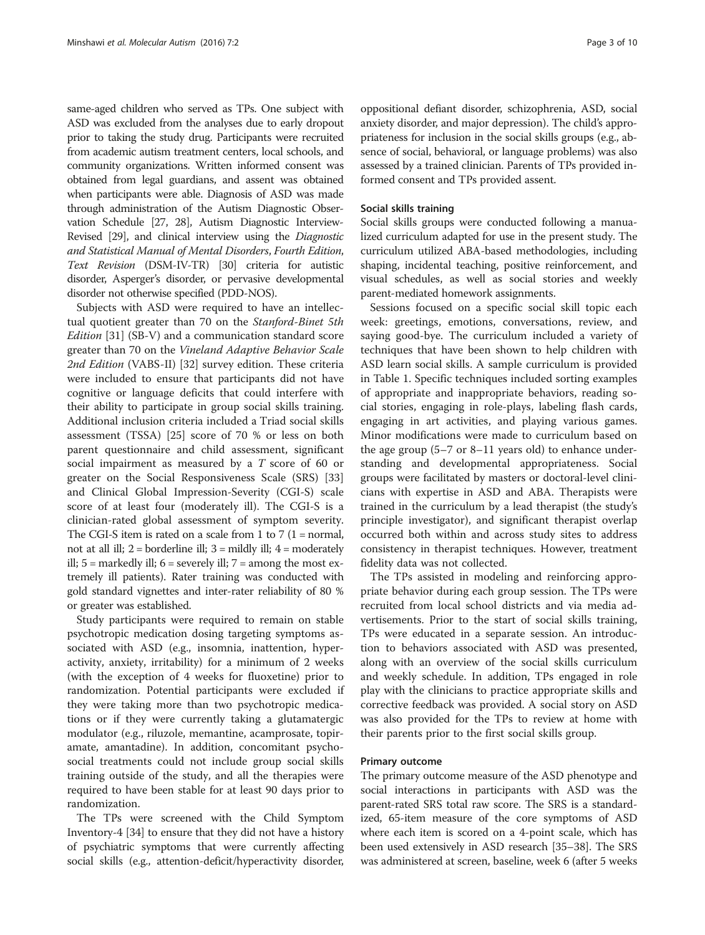same-aged children who served as TPs. One subject with ASD was excluded from the analyses due to early dropout prior to taking the study drug. Participants were recruited from academic autism treatment centers, local schools, and community organizations. Written informed consent was obtained from legal guardians, and assent was obtained when participants were able. Diagnosis of ASD was made through administration of the Autism Diagnostic Observation Schedule [[27](#page-8-0), [28](#page-8-0)], Autism Diagnostic Interview-Revised [\[29\]](#page-9-0), and clinical interview using the Diagnostic and Statistical Manual of Mental Disorders, Fourth Edition, Text Revision (DSM-IV-TR) [[30](#page-9-0)] criteria for autistic disorder, Asperger's disorder, or pervasive developmental disorder not otherwise specified (PDD-NOS).

Subjects with ASD were required to have an intellectual quotient greater than 70 on the Stanford-Binet 5th Edition [\[31](#page-9-0)] (SB-V) and a communication standard score greater than 70 on the Vineland Adaptive Behavior Scale 2nd Edition (VABS-II) [[32\]](#page-9-0) survey edition. These criteria were included to ensure that participants did not have cognitive or language deficits that could interfere with their ability to participate in group social skills training. Additional inclusion criteria included a Triad social skills assessment (TSSA) [[25\]](#page-8-0) score of 70 % or less on both parent questionnaire and child assessment, significant social impairment as measured by a T score of 60 or greater on the Social Responsiveness Scale (SRS) [[33](#page-9-0)] and Clinical Global Impression-Severity (CGI-S) scale score of at least four (moderately ill). The CGI-S is a clinician-rated global assessment of symptom severity. The CGI-S item is rated on a scale from 1 to 7 (1 = normal, not at all ill;  $2 =$  borderline ill;  $3 =$  mildly ill;  $4 =$  moderately ill;  $5 =$  markedly ill;  $6 =$  severely ill;  $7 =$  among the most extremely ill patients). Rater training was conducted with gold standard vignettes and inter-rater reliability of 80 % or greater was established.

Study participants were required to remain on stable psychotropic medication dosing targeting symptoms associated with ASD (e.g., insomnia, inattention, hyperactivity, anxiety, irritability) for a minimum of 2 weeks (with the exception of 4 weeks for fluoxetine) prior to randomization. Potential participants were excluded if they were taking more than two psychotropic medications or if they were currently taking a glutamatergic modulator (e.g., riluzole, memantine, acamprosate, topiramate, amantadine). In addition, concomitant psychosocial treatments could not include group social skills training outside of the study, and all the therapies were required to have been stable for at least 90 days prior to randomization.

The TPs were screened with the Child Symptom Inventory-4 [\[34](#page-9-0)] to ensure that they did not have a history of psychiatric symptoms that were currently affecting social skills (e.g., attention-deficit/hyperactivity disorder, oppositional defiant disorder, schizophrenia, ASD, social anxiety disorder, and major depression). The child's appropriateness for inclusion in the social skills groups (e.g., absence of social, behavioral, or language problems) was also assessed by a trained clinician. Parents of TPs provided informed consent and TPs provided assent.

#### Social skills training

Social skills groups were conducted following a manualized curriculum adapted for use in the present study. The curriculum utilized ABA-based methodologies, including shaping, incidental teaching, positive reinforcement, and visual schedules, as well as social stories and weekly parent-mediated homework assignments.

Sessions focused on a specific social skill topic each week: greetings, emotions, conversations, review, and saying good-bye. The curriculum included a variety of techniques that have been shown to help children with ASD learn social skills. A sample curriculum is provided in Table [1](#page-3-0). Specific techniques included sorting examples of appropriate and inappropriate behaviors, reading social stories, engaging in role-plays, labeling flash cards, engaging in art activities, and playing various games. Minor modifications were made to curriculum based on the age group (5–7 or 8–11 years old) to enhance understanding and developmental appropriateness. Social groups were facilitated by masters or doctoral-level clinicians with expertise in ASD and ABA. Therapists were trained in the curriculum by a lead therapist (the study's principle investigator), and significant therapist overlap occurred both within and across study sites to address consistency in therapist techniques. However, treatment fidelity data was not collected.

The TPs assisted in modeling and reinforcing appropriate behavior during each group session. The TPs were recruited from local school districts and via media advertisements. Prior to the start of social skills training, TPs were educated in a separate session. An introduction to behaviors associated with ASD was presented, along with an overview of the social skills curriculum and weekly schedule. In addition, TPs engaged in role play with the clinicians to practice appropriate skills and corrective feedback was provided. A social story on ASD was also provided for the TPs to review at home with their parents prior to the first social skills group.

#### Primary outcome

The primary outcome measure of the ASD phenotype and social interactions in participants with ASD was the parent-rated SRS total raw score. The SRS is a standardized, 65-item measure of the core symptoms of ASD where each item is scored on a 4-point scale, which has been used extensively in ASD research [\[35](#page-9-0)–[38\]](#page-9-0). The SRS was administered at screen, baseline, week 6 (after 5 weeks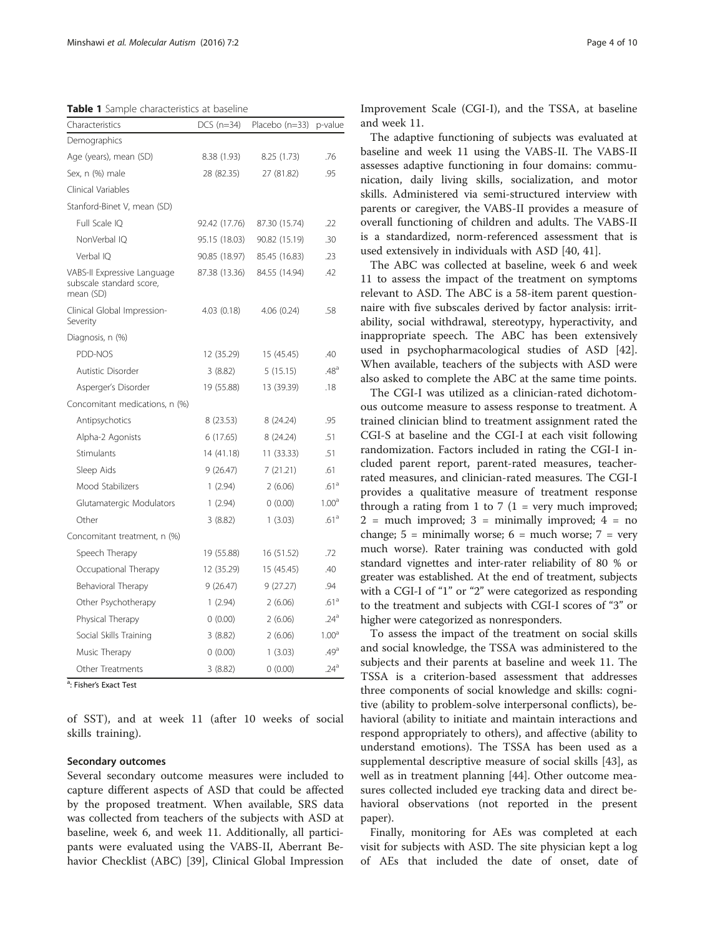<span id="page-3-0"></span>Table 1 Sample characteristics at baseline

| Characteristics                                                      | $DCS$ (n=34)  | Placebo (n=33) | p-value           |
|----------------------------------------------------------------------|---------------|----------------|-------------------|
| Demographics                                                         |               |                |                   |
| Age (years), mean (SD)                                               | 8.38 (1.93)   | 8.25 (1.73)    | .76               |
| Sex, n (%) male                                                      | 28 (82.35)    | 27 (81.82)     | .95               |
| Clinical Variables                                                   |               |                |                   |
| Stanford-Binet V, mean (SD)                                          |               |                |                   |
| Full Scale IQ                                                        | 92.42 (17.76) | 87.30 (15.74)  | .22               |
| NonVerbal IQ                                                         | 95.15 (18.03) | 90.82 (15.19)  | .30               |
| Verbal IO                                                            | 90.85 (18.97) | 85.45 (16.83)  | .23               |
| VABS-II Expressive Language<br>subscale standard score,<br>mean (SD) | 87.38 (13.36) | 84.55 (14.94)  | .42               |
| Clinical Global Impression-<br>Severity                              | 4.03(0.18)    | 4.06(0.24)     | .58               |
| Diagnosis, n (%)                                                     |               |                |                   |
| PDD-NOS                                                              | 12 (35.29)    | 15 (45.45)     | .40               |
| Autistic Disorder                                                    | 3(8.82)       | 5(15.15)       | .48 <sup>a</sup>  |
| Asperger's Disorder                                                  | 19 (55.88)    | 13 (39.39)     | .18               |
| Concomitant medications, n (%)                                       |               |                |                   |
| Antipsychotics                                                       | 8 (23.53)     | 8 (24.24)      | .95               |
| Alpha-2 Agonists                                                     | 6(17.65)      | 8 (24.24)      | .51               |
| Stimulants                                                           | 14 (41.18)    | 11 (33.33)     | .51               |
| Sleep Aids                                                           | 9(26.47)      | 7(21.21)       | .61               |
| Mood Stabilizers                                                     | 1(2.94)       | 2(6.06)        | .61a              |
| Glutamatergic Modulators                                             | 1(2.94)       | 0(0.00)        | 1.00 <sup>a</sup> |
| Other                                                                | 3(8.82)       | 1(3.03)        | .61 <sup>a</sup>  |
| Concomitant treatment, n (%)                                         |               |                |                   |
| Speech Therapy                                                       | 19 (55.88)    | 16 (51.52)     | .72               |
| Occupational Therapy                                                 | 12 (35.29)    | 15 (45.45)     | .40               |
| Behavioral Therapy                                                   | 9(26.47)      | 9(27.27)       | .94               |
| Other Psychotherapy                                                  | 1(2.94)       | 2(6.06)        | .61 <sup>a</sup>  |
| Physical Therapy                                                     | 0(0.00)       | 2(6.06)        | .24 <sup>a</sup>  |
| Social Skills Training                                               | 3(8.82)       | 2(6.06)        | 1.00 <sup>a</sup> |
| Music Therapy                                                        | 0(0.00)       | 1(3.03)        | .49 <sup>a</sup>  |
| <b>Other Treatments</b>                                              | 3 (8.82)      | 0(0.00)        | .24 <sup>a</sup>  |

<sup>a</sup>: Fisher's Exact Test

of SST), and at week 11 (after 10 weeks of social skills training).

#### Secondary outcomes

Several secondary outcome measures were included to capture different aspects of ASD that could be affected by the proposed treatment. When available, SRS data was collected from teachers of the subjects with ASD at baseline, week 6, and week 11. Additionally, all participants were evaluated using the VABS-II, Aberrant Behavior Checklist (ABC) [[39](#page-9-0)], Clinical Global Impression

Improvement Scale (CGI-I), and the TSSA, at baseline and week 11.

The adaptive functioning of subjects was evaluated at baseline and week 11 using the VABS-II. The VABS-II assesses adaptive functioning in four domains: communication, daily living skills, socialization, and motor skills. Administered via semi-structured interview with parents or caregiver, the VABS-II provides a measure of overall functioning of children and adults. The VABS-II is a standardized, norm-referenced assessment that is used extensively in individuals with ASD [[40, 41\]](#page-9-0).

The ABC was collected at baseline, week 6 and week 11 to assess the impact of the treatment on symptoms relevant to ASD. The ABC is a 58-item parent questionnaire with five subscales derived by factor analysis: irritability, social withdrawal, stereotypy, hyperactivity, and inappropriate speech. The ABC has been extensively used in psychopharmacological studies of ASD [\[42](#page-9-0)]. When available, teachers of the subjects with ASD were also asked to complete the ABC at the same time points.

The CGI-I was utilized as a clinician-rated dichotomous outcome measure to assess response to treatment. A trained clinician blind to treatment assignment rated the CGI-S at baseline and the CGI-I at each visit following randomization. Factors included in rating the CGI-I included parent report, parent-rated measures, teacherrated measures, and clinician-rated measures. The CGI-I provides a qualitative measure of treatment response through a rating from 1 to 7 (1 = very much improved;  $2$  = much improved;  $3$  = minimally improved;  $4$  = no change;  $5 =$  minimally worse;  $6 =$  much worse;  $7 =$  very much worse). Rater training was conducted with gold standard vignettes and inter-rater reliability of 80 % or greater was established. At the end of treatment, subjects with a CGI-I of "1" or "2" were categorized as responding to the treatment and subjects with CGI-I scores of "3" or higher were categorized as nonresponders.

To assess the impact of the treatment on social skills and social knowledge, the TSSA was administered to the subjects and their parents at baseline and week 11. The TSSA is a criterion-based assessment that addresses three components of social knowledge and skills: cognitive (ability to problem-solve interpersonal conflicts), behavioral (ability to initiate and maintain interactions and respond appropriately to others), and affective (ability to understand emotions). The TSSA has been used as a supplemental descriptive measure of social skills [[43\]](#page-9-0), as well as in treatment planning [[44\]](#page-9-0). Other outcome measures collected included eye tracking data and direct behavioral observations (not reported in the present paper).

Finally, monitoring for AEs was completed at each visit for subjects with ASD. The site physician kept a log of AEs that included the date of onset, date of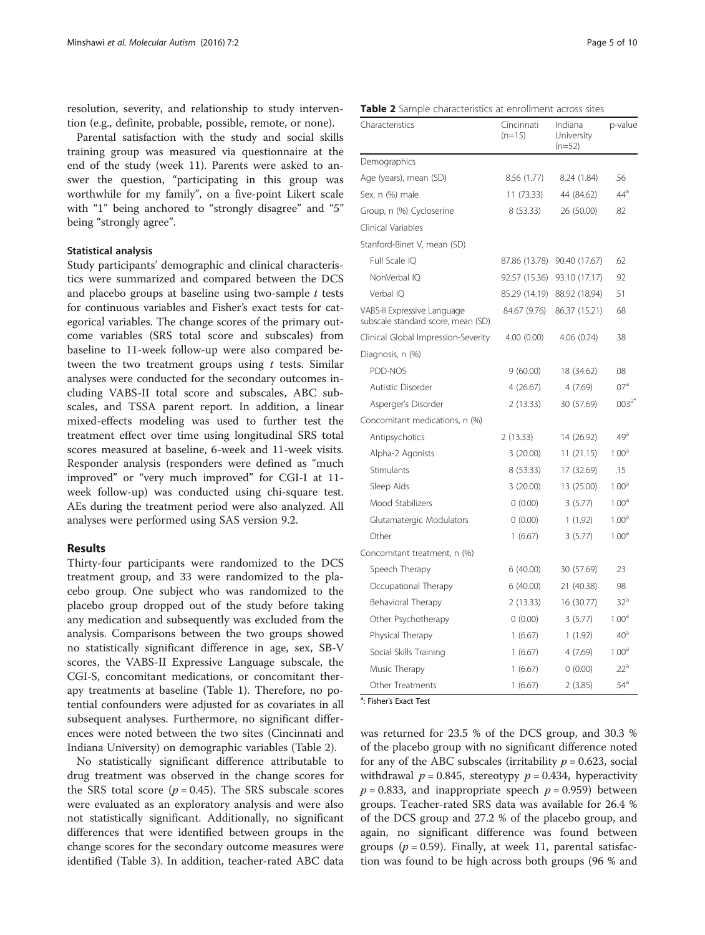resolution, severity, and relationship to study intervention (e.g., definite, probable, possible, remote, or none).

Parental satisfaction with the study and social skills training group was measured via questionnaire at the end of the study (week 11). Parents were asked to answer the question, "participating in this group was worthwhile for my family", on a five-point Likert scale with "1" being anchored to "strongly disagree" and "5" being "strongly agree".

#### Statistical analysis

Study participants' demographic and clinical characteristics were summarized and compared between the DCS and placebo groups at baseline using two-sample  $t$  tests for continuous variables and Fisher's exact tests for categorical variables. The change scores of the primary outcome variables (SRS total score and subscales) from baseline to 11-week follow-up were also compared between the two treatment groups using  $t$  tests. Similar analyses were conducted for the secondary outcomes including VABS-II total score and subscales, ABC subscales, and TSSA parent report. In addition, a linear mixed-effects modeling was used to further test the treatment effect over time using longitudinal SRS total scores measured at baseline, 6-week and 11-week visits. Responder analysis (responders were defined as "much improved" or "very much improved" for CGI-I at 11 week follow-up) was conducted using chi-square test. AEs during the treatment period were also analyzed. All analyses were performed using SAS version 9.2.

#### Results

Thirty-four participants were randomized to the DCS treatment group, and 33 were randomized to the placebo group. One subject who was randomized to the placebo group dropped out of the study before taking any medication and subsequently was excluded from the analysis. Comparisons between the two groups showed no statistically significant difference in age, sex, SB-V scores, the VABS-II Expressive Language subscale, the CGI-S, concomitant medications, or concomitant therapy treatments at baseline (Table [1\)](#page-3-0). Therefore, no potential confounders were adjusted for as covariates in all subsequent analyses. Furthermore, no significant differences were noted between the two sites (Cincinnati and Indiana University) on demographic variables (Table 2).

No statistically significant difference attributable to drug treatment was observed in the change scores for the SRS total score ( $p = 0.45$ ). The SRS subscale scores were evaluated as an exploratory analysis and were also not statistically significant. Additionally, no significant differences that were identified between groups in the change scores for the secondary outcome measures were identified (Table [3](#page-5-0)). In addition, teacher-rated ABC data

| <b>Table 2</b> Sample characteristics at enrollment across sites |  |
|------------------------------------------------------------------|--|
|------------------------------------------------------------------|--|

| Characteristics                                                   | Cincinnati<br>$(n=15)$ | Indiana<br>University<br>$(n=52)$ | p-value           |
|-------------------------------------------------------------------|------------------------|-----------------------------------|-------------------|
| Demographics                                                      |                        |                                   |                   |
| Age (years), mean (SD)                                            | 8.56 (1.77)            | 8.24 (1.84)                       | .56               |
| Sex, n (%) male                                                   | 11 (73.33)             | 44 (84.62)                        | .44 <sup>a</sup>  |
| Group, n (%) Cycloserine                                          | 8(53.33)               | 26 (50.00)                        | .82               |
| Clinical Variables                                                |                        |                                   |                   |
| Stanford-Binet V, mean (SD)                                       |                        |                                   |                   |
| Full Scale IQ                                                     | 87.86 (13.78)          | 90.40 (17.67)                     | .62               |
| NonVerbal IO                                                      | 92.57 (15.36)          | 93.10 (17.17)                     | .92               |
| Verbal IO                                                         | 85.29 (14.19)          | 88.92 (18.94)                     | .51               |
| VABS-II Expressive Language<br>subscale standard score, mean (SD) | 84.67 (9.76)           | 86.37 (15.21)                     | .68               |
| Clinical Global Impression-Severity                               | 4.00(0.00)             | 4.06(0.24)                        | .38               |
| Diagnosis, n (%)                                                  |                        |                                   |                   |
| PDD-NOS                                                           | 9(60.00)               | 18 (34.62)                        | .08               |
| Autistic Disorder                                                 | 4(26.67)               | 4(7.69)                           | .07a              |
| Asperger's Disorder                                               | 2(13.33)               | 30 (57.69)                        | $.003^{a*}$       |
| Concomitant medications, n (%)                                    |                        |                                   |                   |
| Antipsychotics                                                    | 2(13.33)               | 14 (26.92)                        | .49 <sup>a</sup>  |
| Alpha-2 Agonists                                                  | 3(20.00)               | 11(21.15)                         | 1.00 <sup>a</sup> |
| Stimulants                                                        | 8 (53.33)              | 17 (32.69)                        | .15               |
| Sleep Aids                                                        | 3(20.00)               | 13 (25.00)                        | 1.00 <sup>a</sup> |
| Mood Stabilizers                                                  | 0(0.00)                | 3(5.77)                           | 1.00 <sup>a</sup> |
| Glutamatergic Modulators                                          | 0(0.00)                | 1(1.92)                           | 1.00 <sup>a</sup> |
| Other                                                             | 1(6.67)                | 3(5.77)                           | 1.00 <sup>a</sup> |
| Concomitant treatment, n (%)                                      |                        |                                   |                   |
| Speech Therapy                                                    | 6(40.00)               | 30 (57.69)                        | .23               |
| Occupational Therapy                                              | 6(40.00)               | 21 (40.38)                        | .98               |
| Behavioral Therapy                                                | 2(13.33)               | 16 (30.77)                        | .32 <sup>a</sup>  |
| Other Psychotherapy                                               | 0(0.00)                | 3(5.77)                           | 1.00 <sup>a</sup> |
| Physical Therapy                                                  | 1(6.67)                | 1(1.92)                           | .40 <sup>a</sup>  |
| Social Skills Training                                            | 1(6.67)                | 4 (7.69)                          | 1.00 <sup>a</sup> |
| Music Therapy                                                     | 1(6.67)                | 0(0.00)                           | .22 <sup>a</sup>  |
| Other Treatments                                                  | 1(6.67)                | 2(3.85)                           | .54 <sup>a</sup>  |

<sup>a</sup>: Fisher's Exact Test

was returned for 23.5 % of the DCS group, and 30.3 % of the placebo group with no significant difference noted for any of the ABC subscales (irritability  $p = 0.623$ , social withdrawal  $p = 0.845$ , stereotypy  $p = 0.434$ , hyperactivity  $p = 0.833$ , and inappropriate speech  $p = 0.959$ ) between groups. Teacher-rated SRS data was available for 26.4 % of the DCS group and 27.2 % of the placebo group, and again, no significant difference was found between groups ( $p = 0.59$ ). Finally, at week 11, parental satisfaction was found to be high across both groups (96 % and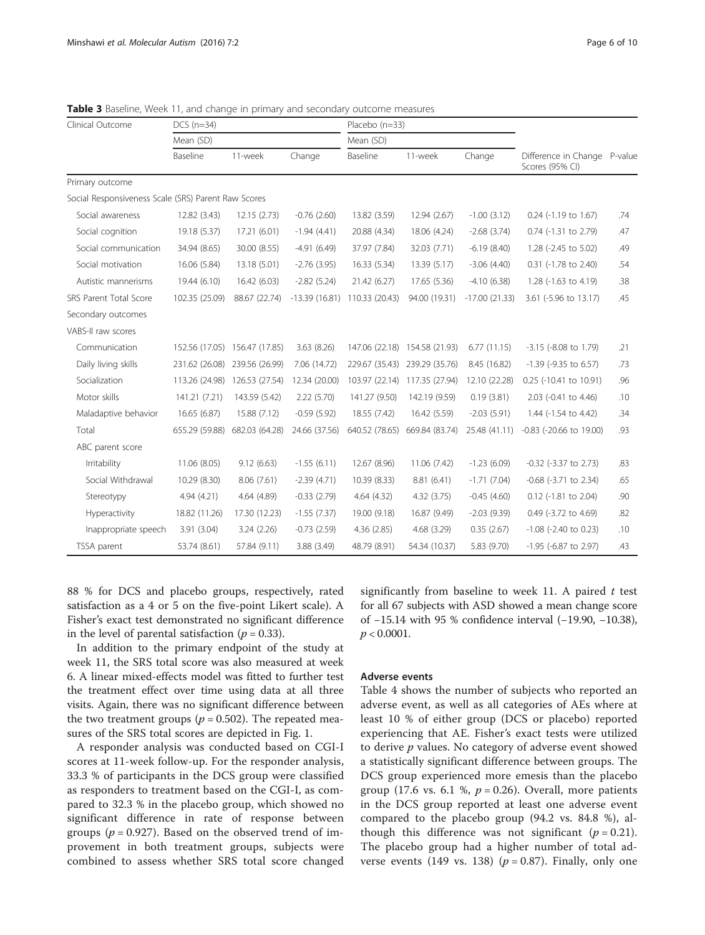| Page 6 or |  |
|-----------|--|
|           |  |

| Clinical Outcome                                    | $DCS$ ( $n=34$ )<br>Mean (SD) |                               |                 | Placebo (n=33)<br>Mean (SD) |                               |                 |                                                 |     |
|-----------------------------------------------------|-------------------------------|-------------------------------|-----------------|-----------------------------|-------------------------------|-----------------|-------------------------------------------------|-----|
|                                                     |                               |                               |                 |                             |                               |                 |                                                 |     |
|                                                     | Baseline                      | 11-week                       | Change          | Baseline                    | 11-week                       | Change          | Difference in Change P-value<br>Scores (95% CI) |     |
| Primary outcome                                     |                               |                               |                 |                             |                               |                 |                                                 |     |
| Social Responsiveness Scale (SRS) Parent Raw Scores |                               |                               |                 |                             |                               |                 |                                                 |     |
| Social awareness                                    | 12.82 (3.43)                  | 12.15(2.73)                   | $-0.76(2.60)$   | 13.82 (3.59)                | 12.94 (2.67)                  | $-1.00(3.12)$   | 0.24 (-1.19 to 1.67)                            | .74 |
| Social cognition                                    | 19.18 (5.37)                  | 17.21 (6.01)                  | $-1.94(4.41)$   | 20.88 (4.34)                | 18.06 (4.24)                  | $-2.68(3.74)$   | 0.74 (-1.31 to 2.79)                            | .47 |
| Social communication                                | 34.94 (8.65)                  | 30.00 (8.55)                  | $-4.91(6.49)$   | 37.97 (7.84)                | 32.03 (7.71)                  | $-6.19(8.40)$   | 1.28 (-2.45 to 5.02)                            | .49 |
| Social motivation                                   | 16.06 (5.84)                  | 13.18 (5.01)                  | $-2.76(3.95)$   | 16.33 (5.34)                | 13.39 (5.17)                  | $-3.06(4.40)$   | 0.31 (-1.78 to 2.40)                            | .54 |
| Autistic mannerisms                                 | 19.44 (6.10)                  | 16.42 (6.03)                  | $-2.82(5.24)$   | 21.42 (6.27)                | 17.65 (5.36)                  | $-4.10(6.38)$   | 1.28 (-1.63 to 4.19)                            | .38 |
| SRS Parent Total Score                              | 102.35 (25.09)                | 88.67 (22.74)                 | $-13.39(16.81)$ | 110.33 (20.43)              | 94.00 (19.31)                 | $-17.00(21.33)$ | 3.61 (-5.96 to 13.17)                           | .45 |
| Secondary outcomes                                  |                               |                               |                 |                             |                               |                 |                                                 |     |
| VABS-II raw scores                                  |                               |                               |                 |                             |                               |                 |                                                 |     |
| Communication                                       |                               | 152.56 (17.05) 156.47 (17.85) | 3.63 (8.26)     |                             | 147.06 (22.18) 154.58 (21.93) | 6.77(11.15)     | -3.15 (-8.08 to 1.79)                           | .21 |
| Daily living skills                                 | 231.62 (26.08)                | 239.56 (26.99)                | 7.06 (14.72)    | 229.67 (35.43)              | 239.29 (35.76)                | 8.45 (16.82)    | $-1.39$ ( $-9.35$ to 6.57)                      | .73 |
| Socialization                                       | 113.26 (24.98)                | 126.53 (27.54)                | 12.34 (20.00)   | 103.97 (22.14)              | 117.35 (27.94)                | 12.10 (22.28)   | 0.25 (-10.41 to 10.91)                          | .96 |
| Motor skills                                        | 141.21 (7.21)                 | 143.59 (5.42)                 | 2.22(5.70)      | 141.27 (9.50)               | 142.19 (9.59)                 | 0.19(3.81)      | 2.03 (-0.41 to 4.46)                            | .10 |
| Maladaptive behavior                                | 16.65 (6.87)                  | 15.88 (7.12)                  | $-0.59(5.92)$   | 18.55 (7.42)                | 16.42 (5.59)                  | $-2.03(5.91)$   | 1.44 (-1.54 to 4.42)                            | .34 |
| Total                                               | 655.29 (59.88)                | 682.03 (64.28)                | 24.66 (37.56)   | 640.52 (78.65)              | 669.84 (83.74)                | 25.48 (41.11)   | $-0.83$ ( $-20.66$ to 19.00)                    | .93 |
| ABC parent score                                    |                               |                               |                 |                             |                               |                 |                                                 |     |
| Irritability                                        | 11.06 (8.05)                  | 9.12(6.63)                    | $-1.55(6.11)$   | 12.67 (8.96)                | 11.06 (7.42)                  | $-1.23(6.09)$   | -0.32 (-3.37 to 2.73)                           | .83 |
| Social Withdrawal                                   | 10.29 (8.30)                  | 8.06(7.61)                    | $-2.39(4.71)$   | 10.39 (8.33)                | 8.81(6.41)                    | $-1.71(7.04)$   | -0.68 (-3.71 to 2.34)                           | .65 |
| Stereotypy                                          | 4.94(4.21)                    | 4.64 (4.89)                   | $-0.33(2.79)$   | 4.64(4.32)                  | 4.32(3.75)                    | $-0.45(4.60)$   | 0.12 (-1.81 to 2.04)                            | .90 |
| Hyperactivity                                       | 18.82 (11.26)                 | 17.30 (12.23)                 | $-1.55(7.37)$   | 19.00 (9.18)                | 16.87 (9.49)                  | $-2.03(9.39)$   | 0.49 (-3.72 to 4.69)                            | .82 |
| Inappropriate speech                                | 3.91(3.04)                    | 3.24(2.26)                    | $-0.73(2.59)$   | 4.36(2.85)                  | 4.68(3.29)                    | 0.35(2.67)      | $-1.08$ ( $-2.40$ to 0.23)                      | .10 |
| TSSA parent                                         | 53.74 (8.61)                  | 57.84 (9.11)                  | 3.88 (3.49)     | 48.79 (8.91)                | 54.34 (10.37)                 | 5.83 (9.70)     | -1.95 (-6.87 to 2.97)                           | .43 |

<span id="page-5-0"></span>Table 3 Baseline, Week 11, and change in primary and secondary outcome measures

88 % for DCS and placebo groups, respectively, rated satisfaction as a 4 or 5 on the five-point Likert scale). A Fisher's exact test demonstrated no significant difference in the level of parental satisfaction ( $p = 0.33$ ).

In addition to the primary endpoint of the study at week 11, the SRS total score was also measured at week 6. A linear mixed-effects model was fitted to further test the treatment effect over time using data at all three visits. Again, there was no significant difference between the two treatment groups ( $p = 0.502$ ). The repeated measures of the SRS total scores are depicted in Fig. [1](#page-6-0).

A responder analysis was conducted based on CGI-I scores at 11-week follow-up. For the responder analysis, 33.3 % of participants in the DCS group were classified as responders to treatment based on the CGI-I, as compared to 32.3 % in the placebo group, which showed no significant difference in rate of response between groups ( $p = 0.927$ ). Based on the observed trend of improvement in both treatment groups, subjects were combined to assess whether SRS total score changed

significantly from baseline to week 11. A paired  $t$  test for all 67 subjects with ASD showed a mean change score of −15.14 with 95 % confidence interval (−19.90, −10.38),  $p < 0.0001$ .

#### Adverse events

Table [4](#page-6-0) shows the number of subjects who reported an adverse event, as well as all categories of AEs where at least 10 % of either group (DCS or placebo) reported experiencing that AE. Fisher's exact tests were utilized to derive  $p$  values. No category of adverse event showed a statistically significant difference between groups. The DCS group experienced more emesis than the placebo group (17.6 vs. 6.1 %,  $p = 0.26$ ). Overall, more patients in the DCS group reported at least one adverse event compared to the placebo group (94.2 vs. 84.8 %), although this difference was not significant ( $p = 0.21$ ). The placebo group had a higher number of total adverse events (149 vs. 138) ( $p = 0.87$ ). Finally, only one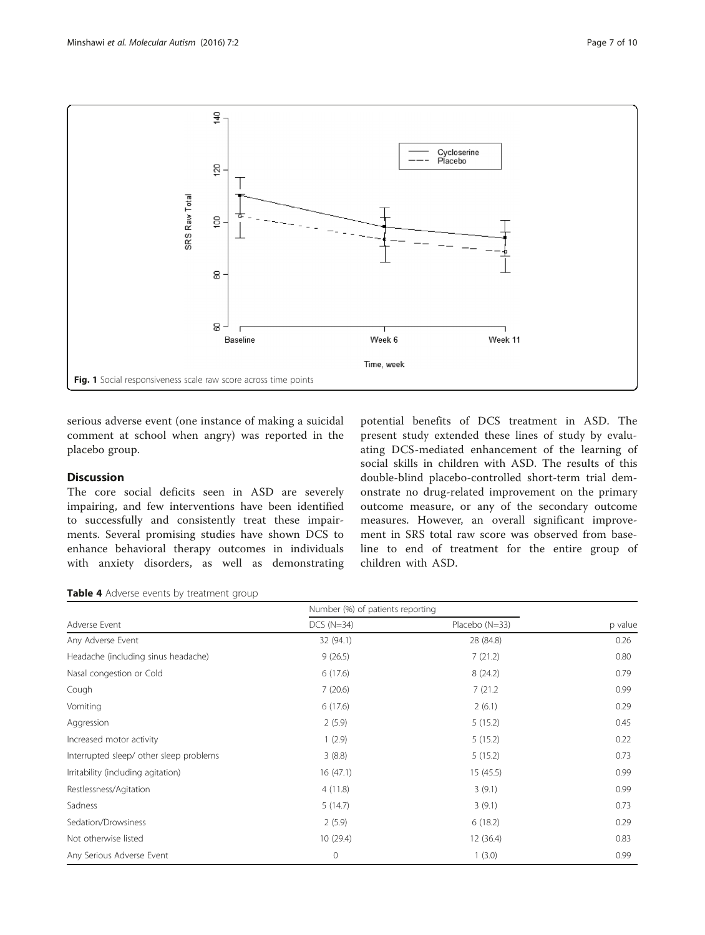<span id="page-6-0"></span>

serious adverse event (one instance of making a suicidal comment at school when angry) was reported in the placebo group.

## Discussion

The core social deficits seen in ASD are severely impairing, and few interventions have been identified to successfully and consistently treat these impairments. Several promising studies have shown DCS to enhance behavioral therapy outcomes in individuals with anxiety disorders, as well as demonstrating potential benefits of DCS treatment in ASD. The present study extended these lines of study by evaluating DCS-mediated enhancement of the learning of social skills in children with ASD. The results of this double-blind placebo-controlled short-term trial demonstrate no drug-related improvement on the primary outcome measure, or any of the secondary outcome measures. However, an overall significant improvement in SRS total raw score was observed from baseline to end of treatment for the entire group of children with ASD.

Table 4 Adverse events by treatment group

|                                         | Number (%) of patients reporting |                |         |
|-----------------------------------------|----------------------------------|----------------|---------|
| Adverse Event                           | $DCS$ ( $N=34$ )                 | Placebo (N=33) | p value |
| Any Adverse Event                       | 32 (94.1)                        | 28 (84.8)      | 0.26    |
| Headache (including sinus headache)     | 9(26.5)                          | 7(21.2)        | 0.80    |
| Nasal congestion or Cold                | 6(17.6)                          | 8(24.2)        | 0.79    |
| Cough                                   | 7(20.6)                          | 7(21.2)        | 0.99    |
| Vomiting                                | 6(17.6)                          | 2(6.1)         | 0.29    |
| Aggression                              | 2(5.9)                           | 5(15.2)        | 0.45    |
| Increased motor activity                | 1(2.9)                           | 5(15.2)        | 0.22    |
| Interrupted sleep/ other sleep problems | 3(8.8)                           | 5(15.2)        | 0.73    |
| Irritability (including agitation)      | 16(47.1)                         | 15(45.5)       | 0.99    |
| Restlessness/Agitation                  | 4(11.8)                          | 3(9.1)         | 0.99    |
| Sadness                                 | 5(14.7)                          | 3(9.1)         | 0.73    |
| Sedation/Drowsiness                     | 2(5.9)                           | 6(18.2)        | 0.29    |
| Not otherwise listed                    | 10 (29.4)                        | 12(36.4)       | 0.83    |
| Any Serious Adverse Event               | $\mathbf{0}$                     | 1(3.0)         | 0.99    |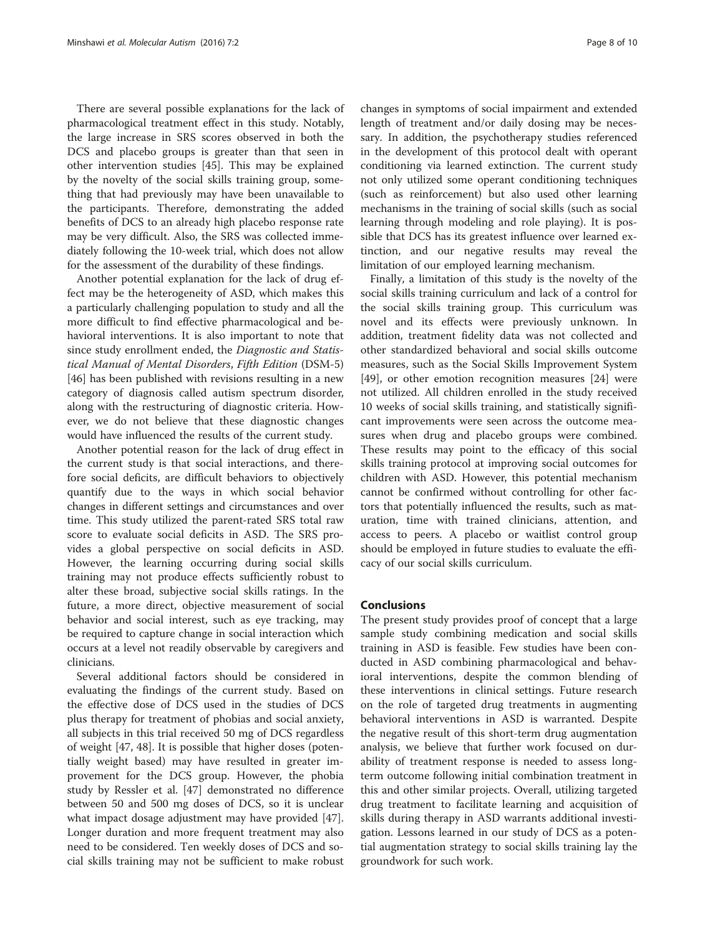There are several possible explanations for the lack of pharmacological treatment effect in this study. Notably, the large increase in SRS scores observed in both the DCS and placebo groups is greater than that seen in other intervention studies [[45](#page-9-0)]. This may be explained by the novelty of the social skills training group, something that had previously may have been unavailable to the participants. Therefore, demonstrating the added benefits of DCS to an already high placebo response rate may be very difficult. Also, the SRS was collected immediately following the 10-week trial, which does not allow for the assessment of the durability of these findings.

Another potential explanation for the lack of drug effect may be the heterogeneity of ASD, which makes this a particularly challenging population to study and all the more difficult to find effective pharmacological and behavioral interventions. It is also important to note that since study enrollment ended, the Diagnostic and Statistical Manual of Mental Disorders, Fifth Edition (DSM-5) [[46\]](#page-9-0) has been published with revisions resulting in a new category of diagnosis called autism spectrum disorder, along with the restructuring of diagnostic criteria. However, we do not believe that these diagnostic changes would have influenced the results of the current study.

Another potential reason for the lack of drug effect in the current study is that social interactions, and therefore social deficits, are difficult behaviors to objectively quantify due to the ways in which social behavior changes in different settings and circumstances and over time. This study utilized the parent-rated SRS total raw score to evaluate social deficits in ASD. The SRS provides a global perspective on social deficits in ASD. However, the learning occurring during social skills training may not produce effects sufficiently robust to alter these broad, subjective social skills ratings. In the future, a more direct, objective measurement of social behavior and social interest, such as eye tracking, may be required to capture change in social interaction which occurs at a level not readily observable by caregivers and clinicians.

Several additional factors should be considered in evaluating the findings of the current study. Based on the effective dose of DCS used in the studies of DCS plus therapy for treatment of phobias and social anxiety, all subjects in this trial received 50 mg of DCS regardless of weight [[47](#page-9-0), [48](#page-9-0)]. It is possible that higher doses (potentially weight based) may have resulted in greater improvement for the DCS group. However, the phobia study by Ressler et al. [[47\]](#page-9-0) demonstrated no difference between 50 and 500 mg doses of DCS, so it is unclear what impact dosage adjustment may have provided [\[47](#page-9-0)]. Longer duration and more frequent treatment may also need to be considered. Ten weekly doses of DCS and social skills training may not be sufficient to make robust

changes in symptoms of social impairment and extended length of treatment and/or daily dosing may be necessary. In addition, the psychotherapy studies referenced in the development of this protocol dealt with operant conditioning via learned extinction. The current study not only utilized some operant conditioning techniques (such as reinforcement) but also used other learning mechanisms in the training of social skills (such as social learning through modeling and role playing). It is possible that DCS has its greatest influence over learned extinction, and our negative results may reveal the limitation of our employed learning mechanism.

Finally, a limitation of this study is the novelty of the social skills training curriculum and lack of a control for the social skills training group. This curriculum was novel and its effects were previously unknown. In addition, treatment fidelity data was not collected and other standardized behavioral and social skills outcome measures, such as the Social Skills Improvement System [[49\]](#page-9-0), or other emotion recognition measures [[24\]](#page-8-0) were not utilized. All children enrolled in the study received 10 weeks of social skills training, and statistically significant improvements were seen across the outcome measures when drug and placebo groups were combined. These results may point to the efficacy of this social skills training protocol at improving social outcomes for children with ASD. However, this potential mechanism cannot be confirmed without controlling for other factors that potentially influenced the results, such as maturation, time with trained clinicians, attention, and access to peers. A placebo or waitlist control group should be employed in future studies to evaluate the efficacy of our social skills curriculum.

#### **Conclusions**

The present study provides proof of concept that a large sample study combining medication and social skills training in ASD is feasible. Few studies have been conducted in ASD combining pharmacological and behavioral interventions, despite the common blending of these interventions in clinical settings. Future research on the role of targeted drug treatments in augmenting behavioral interventions in ASD is warranted. Despite the negative result of this short-term drug augmentation analysis, we believe that further work focused on durability of treatment response is needed to assess longterm outcome following initial combination treatment in this and other similar projects. Overall, utilizing targeted drug treatment to facilitate learning and acquisition of skills during therapy in ASD warrants additional investigation. Lessons learned in our study of DCS as a potential augmentation strategy to social skills training lay the groundwork for such work.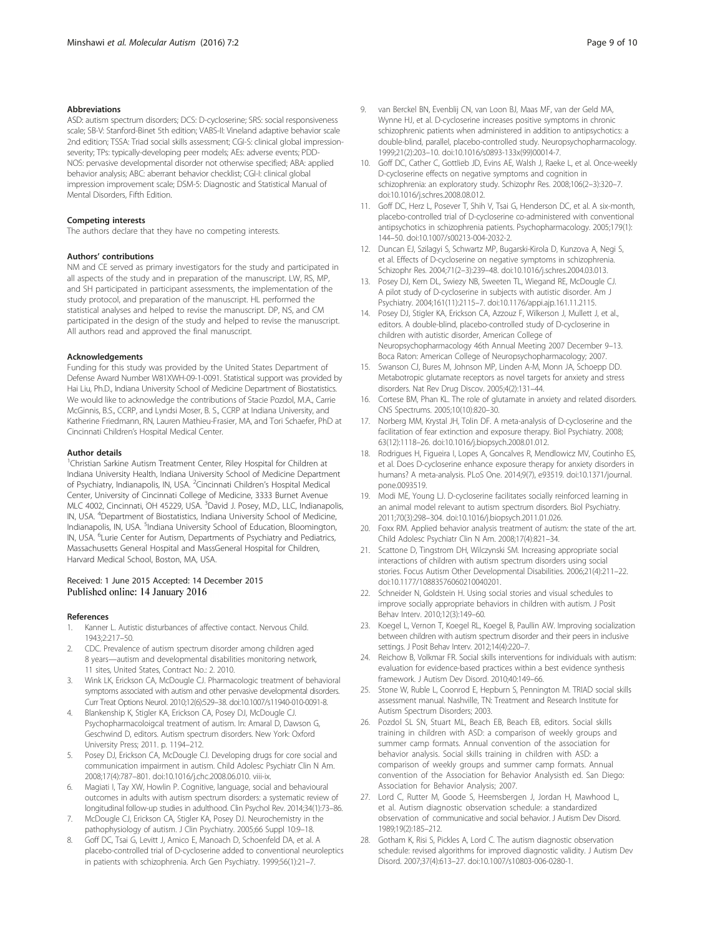#### <span id="page-8-0"></span>Abbreviations

ASD: autism spectrum disorders; DCS: D-cycloserine; SRS: social responsiveness scale; SB-V: Stanford-Binet 5th edition; VABS-II: Vineland adaptive behavior scale 2nd edition; TSSA: Triad social skills assessment; CGI-S: clinical global impressionseverity; TPs: typically-developing peer models; AEs: adverse events; PDD-NOS: pervasive developmental disorder not otherwise specified; ABA: applied behavior analysis; ABC: aberrant behavior checklist; CGI-I: clinical global impression improvement scale; DSM-5: Diagnostic and Statistical Manual of Mental Disorders, Fifth Edition.

#### Competing interests

The authors declare that they have no competing interests.

#### Authors' contributions

NM and CE served as primary investigators for the study and participated in all aspects of the study and in preparation of the manuscript. LW, RS, MP, and SH participated in participant assessments, the implementation of the study protocol, and preparation of the manuscript. HL performed the statistical analyses and helped to revise the manuscript. DP, NS, and CM participated in the design of the study and helped to revise the manuscript. All authors read and approved the final manuscript.

#### Acknowledgements

Funding for this study was provided by the United States Department of Defense Award Number W81XWH-09-1-0091. Statistical support was provided by Hai Liu, Ph.D., Indiana University School of Medicine Department of Biostatistics. We would like to acknowledge the contributions of Stacie Pozdol, M.A., Carrie McGinnis, B.S., CCRP, and Lyndsi Moser, B. S., CCRP at Indiana University, and Katherine Friedmann, RN, Lauren Mathieu-Frasier, MA, and Tori Schaefer, PhD at Cincinnati Children's Hospital Medical Center.

#### Author details

<sup>1</sup>Christian Sarkine Autism Treatment Center, Riley Hospital for Children at Indiana University Health, Indiana University School of Medicine Department of Psychiatry, Indianapolis, IN, USA. <sup>2</sup> Cincinnati Children's Hospital Medical Center, University of Cincinnati College of Medicine, 3333 Burnet Avenue MLC 4002, Cincinnati, OH 45229, USA. <sup>3</sup>David J. Posey, M.D., LLC, Indianapolis, IN, USA. <sup>4</sup>Department of Biostatistics, Indiana University School of Medicine, Indianapolis, IN, USA. <sup>5</sup>Indiana University School of Education, Bloomington, IN, USA. <sup>6</sup>Lurie Center for Autism, Departments of Psychiatry and Pediatrics, Massachusetts General Hospital and MassGeneral Hospital for Children, Harvard Medical School, Boston, MA, USA.

#### Received: 1 June 2015 Accepted: 14 December 2015 Published online: 14 January 2016

#### References

- 1. Kanner L. Autistic disturbances of affective contact. Nervous Child. 1943;2:217–50.
- 2. CDC. Prevalence of autism spectrum disorder among children aged 8 years—autism and developmental disabilities monitoring network, 11 sites, United States, Contract No.: 2. 2010.
- 3. Wink LK, Erickson CA, McDougle CJ. Pharmacologic treatment of behavioral symptoms associated with autism and other pervasive developmental disorders. Curr Treat Options Neurol. 2010;12(6):529–38. doi[:10.1007/s11940-010-0091-8.](http://dx.doi.org/10.1007/s11940-010-0091-8)
- 4. Blankenship K, Stigler KA, Erickson CA, Posey DJ, McDougle CJ. Psychopharmacoloigcal treatment of autism. In: Amaral D, Dawson G, Geschwind D, editors. Autism spectrum disorders. New York: Oxford University Press; 2011. p. 1194–212.
- Posey DJ, Erickson CA, McDougle CJ. Developing drugs for core social and communication impairment in autism. Child Adolesc Psychiatr Clin N Am. 2008;17(4):787–801. doi[:10.1016/j.chc.2008.06.010](http://dx.doi.org/10.1016/j.chc.2008.06.010). viii-ix.
- 6. Magiati I, Tay XW, Howlin P. Cognitive, language, social and behavioural outcomes in adults with autism spectrum disorders: a systematic review of longitudinal follow-up studies in adulthood. Clin Psychol Rev. 2014;34(1):73–86.
- 7. McDougle CJ, Erickson CA, Stigler KA, Posey DJ. Neurochemistry in the pathophysiology of autism. J Clin Psychiatry. 2005;66 Suppl 10:9–18.
- 8. Goff DC, Tsai G, Levitt J, Amico E, Manoach D, Schoenfeld DA, et al. A placebo-controlled trial of D-cycloserine added to conventional neuroleptics in patients with schizophrenia. Arch Gen Psychiatry. 1999;56(1):21–7.
- 9. van Berckel BN, Evenblij CN, van Loon BJ, Maas MF, van der Geld MA, Wynne HJ, et al. D-cycloserine increases positive symptoms in chronic schizophrenic patients when administered in addition to antipsychotics: a double-blind, parallel, placebo-controlled study. Neuropsychopharmacology. 1999;21(2):203–10. doi:[10.1016/s0893-133x\(99\)00014-7.](http://dx.doi.org/10.1016/s0893-133x(99)00014-7)
- 10. Goff DC, Cather C, Gottlieb JD, Evins AE, Walsh J, Raeke L, et al. Once-weekly D-cycloserine effects on negative symptoms and cognition in schizophrenia: an exploratory study. Schizophr Res. 2008;106(2–3):320–7. doi[:10.1016/j.schres.2008.08.012.](http://dx.doi.org/10.1016/j.schres.2008.08.012)
- 11. Goff DC, Herz L, Posever T, Shih V, Tsai G, Henderson DC, et al. A six-month, placebo-controlled trial of D-cycloserine co-administered with conventional antipsychotics in schizophrenia patients. Psychopharmacology. 2005;179(1): 144–50. doi:[10.1007/s00213-004-2032-2](http://dx.doi.org/10.1007/s00213-004-2032-2).
- 12. Duncan EJ, Szilagyi S, Schwartz MP, Bugarski-Kirola D, Kunzova A, Negi S, et al. Effects of D-cycloserine on negative symptoms in schizophrenia. Schizophr Res. 2004;71(2–3):239–48. doi:[10.1016/j.schres.2004.03.013.](http://dx.doi.org/10.1016/j.schres.2004.03.013)
- 13. Posey DJ, Kem DL, Swiezy NB, Sweeten TL, Wiegand RE, McDougle CJ. A pilot study of D-cycloserine in subjects with autistic disorder. Am J Psychiatry. 2004;161(11):2115–7. doi[:10.1176/appi.ajp.161.11.2115.](http://dx.doi.org/10.1176/appi.ajp.161.11.2115)
- 14. Posey DJ, Stigler KA, Erickson CA, Azzouz F, Wilkerson J, Mullett J, et al., editors. A double-blind, placebo-controlled study of D-cycloserine in children with autistic disorder, American College of Neuropsychopharmacology 46th Annual Meeting 2007 December 9–13. Boca Raton: American College of Neuropsychopharmacology; 2007.
- 15. Swanson CJ, Bures M, Johnson MP, Linden A-M, Monn JA, Schoepp DD. Metabotropic glutamate receptors as novel targets for anxiety and stress disorders. Nat Rev Drug Discov. 2005;4(2):131–44.
- 16. Cortese BM, Phan KL. The role of glutamate in anxiety and related disorders. CNS Spectrums. 2005;10(10):820–30.
- 17. Norberg MM, Krystal JH, Tolin DF. A meta-analysis of D-cycloserine and the facilitation of fear extinction and exposure therapy. Biol Psychiatry. 2008; 63(12):1118–26. doi:[10.1016/j.biopsych.2008.01.012.](http://dx.doi.org/10.1016/j.biopsych.2008.01.012)
- 18. Rodrigues H, Figueira I, Lopes A, Goncalves R, Mendlowicz MV, Coutinho ES, et al. Does D-cycloserine enhance exposure therapy for anxiety disorders in humans? A meta-analysis. PLoS One. 2014;9(7), e93519. doi[:10.1371/journal.](http://dx.doi.org/10.1371/journal.pone.0093519) [pone.0093519.](http://dx.doi.org/10.1371/journal.pone.0093519)
- 19. Modi ME, Young LJ. D-cycloserine facilitates socially reinforced learning in an animal model relevant to autism spectrum disorders. Biol Psychiatry. 2011;70(3):298–304. doi[:10.1016/j.biopsych.2011.01.026](http://dx.doi.org/10.1016/j.biopsych.2011.01.026).
- 20. Foxx RM. Applied behavior analysis treatment of autism: the state of the art. Child Adolesc Psychiatr Clin N Am. 2008;17(4):821–34.
- 21. Scattone D, Tingstrom DH, Wilczynski SM. Increasing appropriate social interactions of children with autism spectrum disorders using social stories. Focus Autism Other Developmental Disabilities. 2006;21(4):211–22. doi[:10.1177/10883576060210040201](http://dx.doi.org/10.1177/10883576060210040201).
- 22. Schneider N, Goldstein H. Using social stories and visual schedules to improve socially appropriate behaviors in children with autism. J Posit Behav Interv. 2010;12(3):149–60.
- 23. Koegel L, Vernon T, Koegel RL, Koegel B, Paullin AW. Improving socialization between children with autism spectrum disorder and their peers in inclusive settings. J Posit Behav Interv. 2012;14(4):220–7.
- 24. Reichow B, Volkmar FR. Social skills interventions for individuals with autism: evaluation for evidence-based practices within a best evidence synthesis framework. J Autism Dev Disord. 2010;40:149–66.
- 25. Stone W, Ruble L, Coonrod E, Hepburn S, Pennington M. TRIAD social skills assessment manual. Nashville, TN: Treatment and Research Institute for Autism Spectrum Disorders; 2003.
- 26. Pozdol SL SN, Stuart ML, Beach EB, Beach EB, editors. Social skills training in children with ASD: a comparison of weekly groups and summer camp formats. Annual convention of the association for behavior analysis. Social skills training in children with ASD: a comparison of weekly groups and summer camp formats. Annual convention of the Association for Behavior Analysisth ed. San Diego: Association for Behavior Analysis; 2007.
- 27. Lord C, Rutter M, Goode S, Heemsbergen J, Jordan H, Mawhood L, et al. Autism diagnostic observation schedule: a standardized observation of communicative and social behavior. J Autism Dev Disord. 1989;19(2):185–212.
- 28. Gotham K, Risi S, Pickles A, Lord C. The autism diagnostic observation schedule: revised algorithms for improved diagnostic validity. J Autism Dev Disord. 2007;37(4):613–27. doi:[10.1007/s10803-006-0280-1.](http://dx.doi.org/10.1007/s10803-006-0280-1)